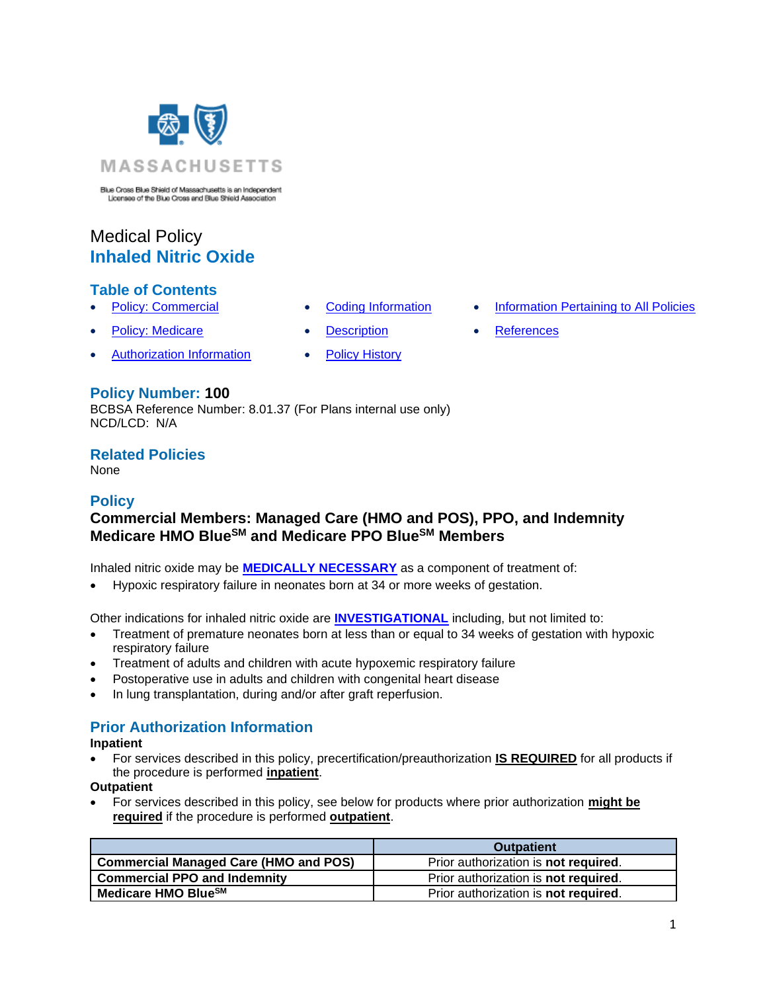

Blue Cross Blue Shield of Massachusetts is an Independent Licensee of the Blue Cross and Blue Shield Association

# Medical Policy **Inhaled Nitric Oxide**

## **Table of Contents**

- 
- **[Policy: Medicare](#page-0-0) [Description](#page-1-1) [References](#page-4-1)**
- [Authorization Information](#page-0-1) [Policy History](#page-3-0)
- 
- **[Policy: Commercial](#page-0-0) [Coding Information](#page-1-0) [Information Pertaining to All Policies](#page-4-0)** 
	-

#### **Policy Number: 100**

BCBSA Reference Number: 8.01.37 (For Plans internal use only) NCD/LCD: N/A

## **Related Policies**

<span id="page-0-0"></span>None

# **Policy**

# **Commercial Members: Managed Care (HMO and POS), PPO, and Indemnity Medicare HMO BlueSM and Medicare PPO BlueSM Members**

Inhaled nitric oxide may be **[MEDICALLY NECESSARY](https://www.bluecrossma.org/medical-policies/sites/g/files/csphws2091/files/acquiadam-assets/Definition%20of%20Med%20Nec%20Inv%20Not%20Med%20Nec%20prn.pdf#page=1)** as a component of treatment of:

• Hypoxic respiratory failure in neonates born at 34 or more weeks of gestation.

Other indications for inhaled nitric oxide are **[INVESTIGATIONAL](https://www.bluecrossma.org/medical-policies/sites/g/files/csphws2091/files/acquiadam-assets/Definition%20of%20Med%20Nec%20Inv%20Not%20Med%20Nec%20prn.pdf#page=1)** including, but not limited to:

- Treatment of premature neonates born at less than or equal to 34 weeks of gestation with hypoxic respiratory failure
- Treatment of adults and children with acute hypoxemic respiratory failure
- Postoperative use in adults and children with congenital heart disease
- In lung transplantation, during and/or after graft reperfusion.

# <span id="page-0-1"></span>**Prior Authorization Information**

**Inpatient**

• For services described in this policy, precertification/preauthorization **IS REQUIRED** for all products if the procedure is performed **inpatient**.

#### **Outpatient**

• For services described in this policy, see below for products where prior authorization **might be required** if the procedure is performed **outpatient**.

|                                              | <b>Outpatient</b>                    |
|----------------------------------------------|--------------------------------------|
| <b>Commercial Managed Care (HMO and POS)</b> | Prior authorization is not required. |
| <b>Commercial PPO and Indemnity</b>          | Prior authorization is not required. |
| Medicare HMO BlueSM                          | Prior authorization is not required. |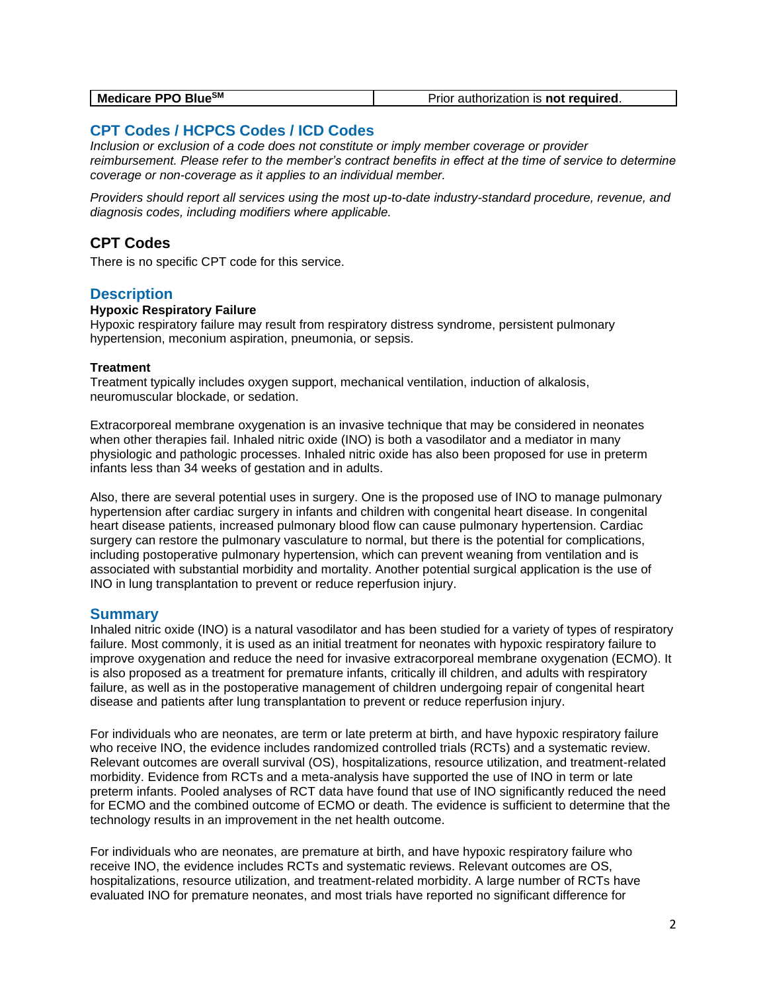## <span id="page-1-0"></span>**CPT Codes / HCPCS Codes / ICD Codes**

*Inclusion or exclusion of a code does not constitute or imply member coverage or provider reimbursement. Please refer to the member's contract benefits in effect at the time of service to determine coverage or non-coverage as it applies to an individual member.*

*Providers should report all services using the most up-to-date industry-standard procedure, revenue, and diagnosis codes, including modifiers where applicable.*

## **CPT Codes**

There is no specific CPT code for this service.

#### <span id="page-1-1"></span>**Description**

#### **Hypoxic Respiratory Failure**

Hypoxic respiratory failure may result from respiratory distress syndrome, persistent pulmonary hypertension, meconium aspiration, pneumonia, or sepsis.

#### **Treatment**

Treatment typically includes oxygen support, mechanical ventilation, induction of alkalosis, neuromuscular blockade, or sedation.

Extracorporeal membrane oxygenation is an invasive technique that may be considered in neonates when other therapies fail. Inhaled nitric oxide (INO) is both a vasodilator and a mediator in many physiologic and pathologic processes. Inhaled nitric oxide has also been proposed for use in preterm infants less than 34 weeks of gestation and in adults.

Also, there are several potential uses in surgery. One is the proposed use of INO to manage pulmonary hypertension after cardiac surgery in infants and children with congenital heart disease. In congenital heart disease patients, increased pulmonary blood flow can cause pulmonary hypertension. Cardiac surgery can restore the pulmonary vasculature to normal, but there is the potential for complications, including postoperative pulmonary hypertension, which can prevent weaning from ventilation and is associated with substantial morbidity and mortality. Another potential surgical application is the use of INO in lung transplantation to prevent or reduce reperfusion injury.

#### **Summary**

Inhaled nitric oxide (INO) is a natural vasodilator and has been studied for a variety of types of respiratory failure. Most commonly, it is used as an initial treatment for neonates with hypoxic respiratory failure to improve oxygenation and reduce the need for invasive extracorporeal membrane oxygenation (ECMO). It is also proposed as a treatment for premature infants, critically ill children, and adults with respiratory failure, as well as in the postoperative management of children undergoing repair of congenital heart disease and patients after lung transplantation to prevent or reduce reperfusion injury.

For individuals who are neonates, are term or late preterm at birth, and have hypoxic respiratory failure who receive INO, the evidence includes randomized controlled trials (RCTs) and a systematic review. Relevant outcomes are overall survival (OS), hospitalizations, resource utilization, and treatment-related morbidity. Evidence from RCTs and a meta-analysis have supported the use of INO in term or late preterm infants. Pooled analyses of RCT data have found that use of INO significantly reduced the need for ECMO and the combined outcome of ECMO or death. The evidence is sufficient to determine that the technology results in an improvement in the net health outcome.

For individuals who are neonates, are premature at birth, and have hypoxic respiratory failure who receive INO, the evidence includes RCTs and systematic reviews. Relevant outcomes are OS, hospitalizations, resource utilization, and treatment-related morbidity. A large number of RCTs have evaluated INO for premature neonates, and most trials have reported no significant difference for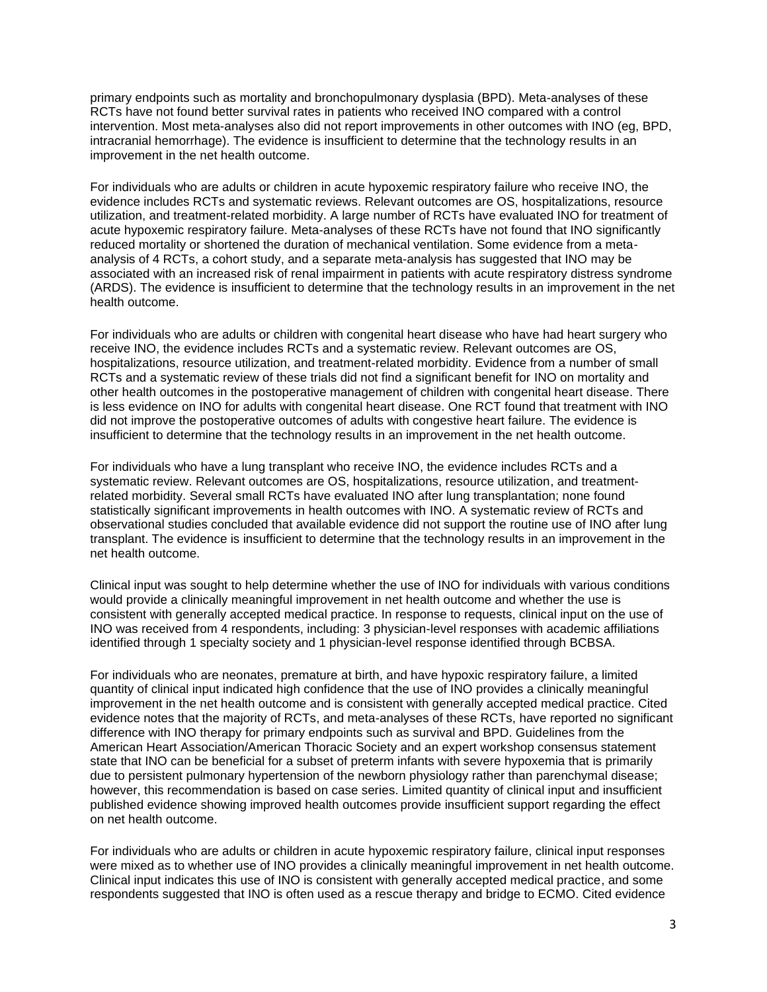primary endpoints such as mortality and bronchopulmonary dysplasia (BPD). Meta-analyses of these RCTs have not found better survival rates in patients who received INO compared with a control intervention. Most meta-analyses also did not report improvements in other outcomes with INO (eg, BPD, intracranial hemorrhage). The evidence is insufficient to determine that the technology results in an improvement in the net health outcome.

For individuals who are adults or children in acute hypoxemic respiratory failure who receive INO, the evidence includes RCTs and systematic reviews. Relevant outcomes are OS, hospitalizations, resource utilization, and treatment-related morbidity. A large number of RCTs have evaluated INO for treatment of acute hypoxemic respiratory failure. Meta-analyses of these RCTs have not found that INO significantly reduced mortality or shortened the duration of mechanical ventilation. Some evidence from a metaanalysis of 4 RCTs, a cohort study, and a separate meta-analysis has suggested that INO may be associated with an increased risk of renal impairment in patients with acute respiratory distress syndrome (ARDS). The evidence is insufficient to determine that the technology results in an improvement in the net health outcome.

For individuals who are adults or children with congenital heart disease who have had heart surgery who receive INO, the evidence includes RCTs and a systematic review. Relevant outcomes are OS, hospitalizations, resource utilization, and treatment-related morbidity. Evidence from a number of small RCTs and a systematic review of these trials did not find a significant benefit for INO on mortality and other health outcomes in the postoperative management of children with congenital heart disease. There is less evidence on INO for adults with congenital heart disease. One RCT found that treatment with INO did not improve the postoperative outcomes of adults with congestive heart failure. The evidence is insufficient to determine that the technology results in an improvement in the net health outcome.

For individuals who have a lung transplant who receive INO, the evidence includes RCTs and a systematic review. Relevant outcomes are OS, hospitalizations, resource utilization, and treatmentrelated morbidity. Several small RCTs have evaluated INO after lung transplantation; none found statistically significant improvements in health outcomes with INO. A systematic review of RCTs and observational studies concluded that available evidence did not support the routine use of INO after lung transplant. The evidence is insufficient to determine that the technology results in an improvement in the net health outcome.

Clinical input was sought to help determine whether the use of INO for individuals with various conditions would provide a clinically meaningful improvement in net health outcome and whether the use is consistent with generally accepted medical practice. In response to requests, clinical input on the use of INO was received from 4 respondents, including: 3 physician-level responses with academic affiliations identified through 1 specialty society and 1 physician-level response identified through BCBSA.

For individuals who are neonates, premature at birth, and have hypoxic respiratory failure, a limited quantity of clinical input indicated high confidence that the use of INO provides a clinically meaningful improvement in the net health outcome and is consistent with generally accepted medical practice. Cited evidence notes that the majority of RCTs, and meta-analyses of these RCTs, have reported no significant difference with INO therapy for primary endpoints such as survival and BPD. Guidelines from the American Heart Association/American Thoracic Society and an expert workshop consensus statement state that INO can be beneficial for a subset of preterm infants with severe hypoxemia that is primarily due to persistent pulmonary hypertension of the newborn physiology rather than parenchymal disease; however, this recommendation is based on case series. Limited quantity of clinical input and insufficient published evidence showing improved health outcomes provide insufficient support regarding the effect on net health outcome.

For individuals who are adults or children in acute hypoxemic respiratory failure, clinical input responses were mixed as to whether use of INO provides a clinically meaningful improvement in net health outcome. Clinical input indicates this use of INO is consistent with generally accepted medical practice, and some respondents suggested that INO is often used as a rescue therapy and bridge to ECMO. Cited evidence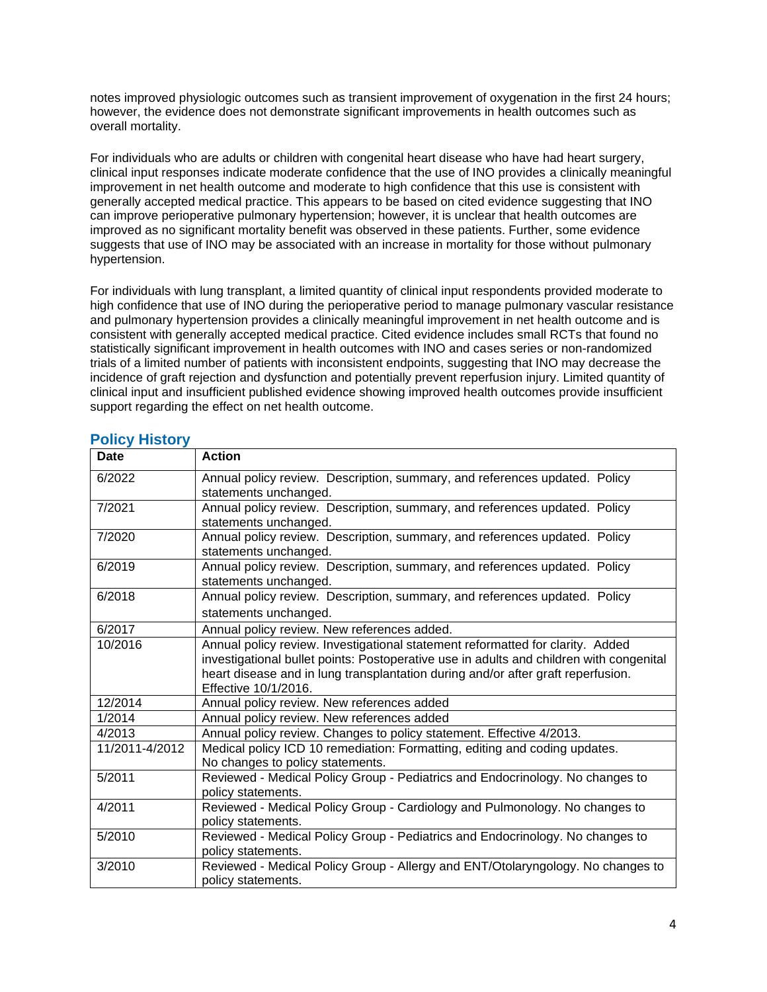notes improved physiologic outcomes such as transient improvement of oxygenation in the first 24 hours; however, the evidence does not demonstrate significant improvements in health outcomes such as overall mortality.

For individuals who are adults or children with congenital heart disease who have had heart surgery, clinical input responses indicate moderate confidence that the use of INO provides a clinically meaningful improvement in net health outcome and moderate to high confidence that this use is consistent with generally accepted medical practice. This appears to be based on cited evidence suggesting that INO can improve perioperative pulmonary hypertension; however, it is unclear that health outcomes are improved as no significant mortality benefit was observed in these patients. Further, some evidence suggests that use of INO may be associated with an increase in mortality for those without pulmonary hypertension.

For individuals with lung transplant, a limited quantity of clinical input respondents provided moderate to high confidence that use of INO during the perioperative period to manage pulmonary vascular resistance and pulmonary hypertension provides a clinically meaningful improvement in net health outcome and is consistent with generally accepted medical practice. Cited evidence includes small RCTs that found no statistically significant improvement in health outcomes with INO and cases series or non-randomized trials of a limited number of patients with inconsistent endpoints, suggesting that INO may decrease the incidence of graft rejection and dysfunction and potentially prevent reperfusion injury. Limited quantity of clinical input and insufficient published evidence showing improved health outcomes provide insufficient support regarding the effect on net health outcome.

| Date           | <b>Action</b>                                                                                                                                                                                                                                                                         |
|----------------|---------------------------------------------------------------------------------------------------------------------------------------------------------------------------------------------------------------------------------------------------------------------------------------|
| 6/2022         | Annual policy review. Description, summary, and references updated. Policy<br>statements unchanged.                                                                                                                                                                                   |
| 7/2021         | Annual policy review. Description, summary, and references updated. Policy<br>statements unchanged.                                                                                                                                                                                   |
| 7/2020         | Annual policy review. Description, summary, and references updated. Policy<br>statements unchanged.                                                                                                                                                                                   |
| 6/2019         | Annual policy review. Description, summary, and references updated. Policy<br>statements unchanged.                                                                                                                                                                                   |
| 6/2018         | Annual policy review. Description, summary, and references updated. Policy<br>statements unchanged.                                                                                                                                                                                   |
| 6/2017         | Annual policy review. New references added.                                                                                                                                                                                                                                           |
| 10/2016        | Annual policy review. Investigational statement reformatted for clarity. Added<br>investigational bullet points: Postoperative use in adults and children with congenital<br>heart disease and in lung transplantation during and/or after graft reperfusion.<br>Effective 10/1/2016. |
| 12/2014        | Annual policy review. New references added                                                                                                                                                                                                                                            |
| 1/2014         | Annual policy review. New references added                                                                                                                                                                                                                                            |
| 4/2013         | Annual policy review. Changes to policy statement. Effective 4/2013.                                                                                                                                                                                                                  |
| 11/2011-4/2012 | Medical policy ICD 10 remediation: Formatting, editing and coding updates.<br>No changes to policy statements.                                                                                                                                                                        |
| 5/2011         | Reviewed - Medical Policy Group - Pediatrics and Endocrinology. No changes to<br>policy statements.                                                                                                                                                                                   |
| 4/2011         | Reviewed - Medical Policy Group - Cardiology and Pulmonology. No changes to<br>policy statements.                                                                                                                                                                                     |
| 5/2010         | Reviewed - Medical Policy Group - Pediatrics and Endocrinology. No changes to<br>policy statements.                                                                                                                                                                                   |
| 3/2010         | Reviewed - Medical Policy Group - Allergy and ENT/Otolaryngology. No changes to<br>policy statements.                                                                                                                                                                                 |

#### <span id="page-3-0"></span>**Policy History**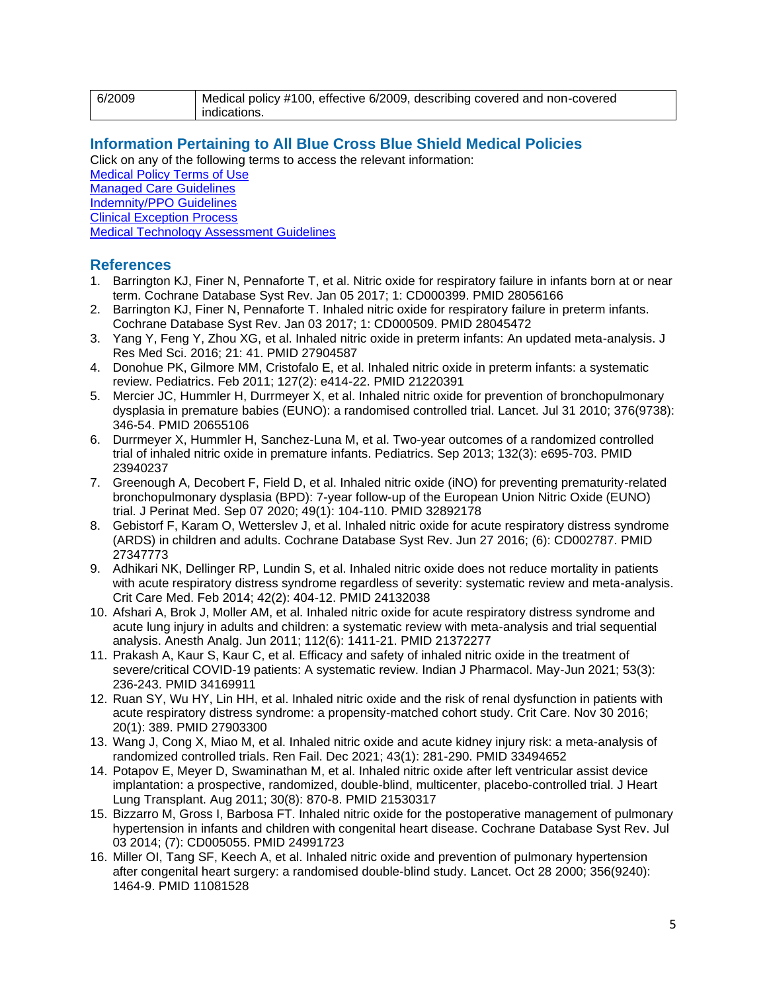| 6/2009 | Medical policy #100, effective 6/2009, describing covered and non-covered |
|--------|---------------------------------------------------------------------------|
|        | indications.                                                              |

#### <span id="page-4-0"></span>**[Information Pertaining to All Blue Cross Blue Shield Medical Policies](#page-4-0)**

Click on any of the following terms to access the relevant information:

[Medical Policy Terms of Use](http://www.bluecrossma.org/medical-policies/sites/g/files/csphws2091/files/acquiadam-assets/Medical_Policy_Terms_of_Use_prn.pdf) [Managed Care Guidelines](http://www.bluecrossma.org/medical-policies/sites/g/files/csphws2091/files/acquiadam-assets/Managed_Care_Guidelines_prn.pdf) [Indemnity/PPO Guidelines](http://www.bluecrossma.org/medical-policies/sites/g/files/csphws2091/files/acquiadam-assets/Indemnity_and_PPO_Guidelines_prn.pdf)

[Clinical Exception Process](http://www.bluecrossma.org/medical-policies/sites/g/files/csphws2091/files/acquiadam-assets/Clinical_Exception_Process_prn.pdf)

<span id="page-4-1"></span>[Medical Technology Assessment Guidelines](http://www.bluecrossma.org/medical-policies/sites/g/files/csphws2091/files/acquiadam-assets/Medical_Technology_Assessment_Guidelines_prn.pdf)

#### **References**

- 1. Barrington KJ, Finer N, Pennaforte T, et al. Nitric oxide for respiratory failure in infants born at or near term. Cochrane Database Syst Rev. Jan 05 2017; 1: CD000399. PMID 28056166
- 2. Barrington KJ, Finer N, Pennaforte T. Inhaled nitric oxide for respiratory failure in preterm infants. Cochrane Database Syst Rev. Jan 03 2017; 1: CD000509. PMID 28045472
- 3. Yang Y, Feng Y, Zhou XG, et al. Inhaled nitric oxide in preterm infants: An updated meta-analysis. J Res Med Sci. 2016; 21: 41. PMID 27904587
- 4. Donohue PK, Gilmore MM, Cristofalo E, et al. Inhaled nitric oxide in preterm infants: a systematic review. Pediatrics. Feb 2011; 127(2): e414-22. PMID 21220391
- 5. Mercier JC, Hummler H, Durrmeyer X, et al. Inhaled nitric oxide for prevention of bronchopulmonary dysplasia in premature babies (EUNO): a randomised controlled trial. Lancet. Jul 31 2010; 376(9738): 346-54. PMID 20655106
- 6. Durrmeyer X, Hummler H, Sanchez-Luna M, et al. Two-year outcomes of a randomized controlled trial of inhaled nitric oxide in premature infants. Pediatrics. Sep 2013; 132(3): e695-703. PMID 23940237
- 7. Greenough A, Decobert F, Field D, et al. Inhaled nitric oxide (iNO) for preventing prematurity-related bronchopulmonary dysplasia (BPD): 7-year follow-up of the European Union Nitric Oxide (EUNO) trial. J Perinat Med. Sep 07 2020; 49(1): 104-110. PMID 32892178
- 8. Gebistorf F, Karam O, Wetterslev J, et al. Inhaled nitric oxide for acute respiratory distress syndrome (ARDS) in children and adults. Cochrane Database Syst Rev. Jun 27 2016; (6): CD002787. PMID 27347773
- 9. Adhikari NK, Dellinger RP, Lundin S, et al. Inhaled nitric oxide does not reduce mortality in patients with acute respiratory distress syndrome regardless of severity: systematic review and meta-analysis. Crit Care Med. Feb 2014; 42(2): 404-12. PMID 24132038
- 10. Afshari A, Brok J, Moller AM, et al. Inhaled nitric oxide for acute respiratory distress syndrome and acute lung injury in adults and children: a systematic review with meta-analysis and trial sequential analysis. Anesth Analg. Jun 2011; 112(6): 1411-21. PMID 21372277
- 11. Prakash A, Kaur S, Kaur C, et al. Efficacy and safety of inhaled nitric oxide in the treatment of severe/critical COVID-19 patients: A systematic review. Indian J Pharmacol. May-Jun 2021; 53(3): 236-243. PMID 34169911
- 12. Ruan SY, Wu HY, Lin HH, et al. Inhaled nitric oxide and the risk of renal dysfunction in patients with acute respiratory distress syndrome: a propensity-matched cohort study. Crit Care. Nov 30 2016; 20(1): 389. PMID 27903300
- 13. Wang J, Cong X, Miao M, et al. Inhaled nitric oxide and acute kidney injury risk: a meta-analysis of randomized controlled trials. Ren Fail. Dec 2021; 43(1): 281-290. PMID 33494652
- 14. Potapov E, Meyer D, Swaminathan M, et al. Inhaled nitric oxide after left ventricular assist device implantation: a prospective, randomized, double-blind, multicenter, placebo-controlled trial. J Heart Lung Transplant. Aug 2011; 30(8): 870-8. PMID 21530317
- 15. Bizzarro M, Gross I, Barbosa FT. Inhaled nitric oxide for the postoperative management of pulmonary hypertension in infants and children with congenital heart disease. Cochrane Database Syst Rev. Jul 03 2014; (7): CD005055. PMID 24991723
- 16. Miller OI, Tang SF, Keech A, et al. Inhaled nitric oxide and prevention of pulmonary hypertension after congenital heart surgery: a randomised double-blind study. Lancet. Oct 28 2000; 356(9240): 1464-9. PMID 11081528